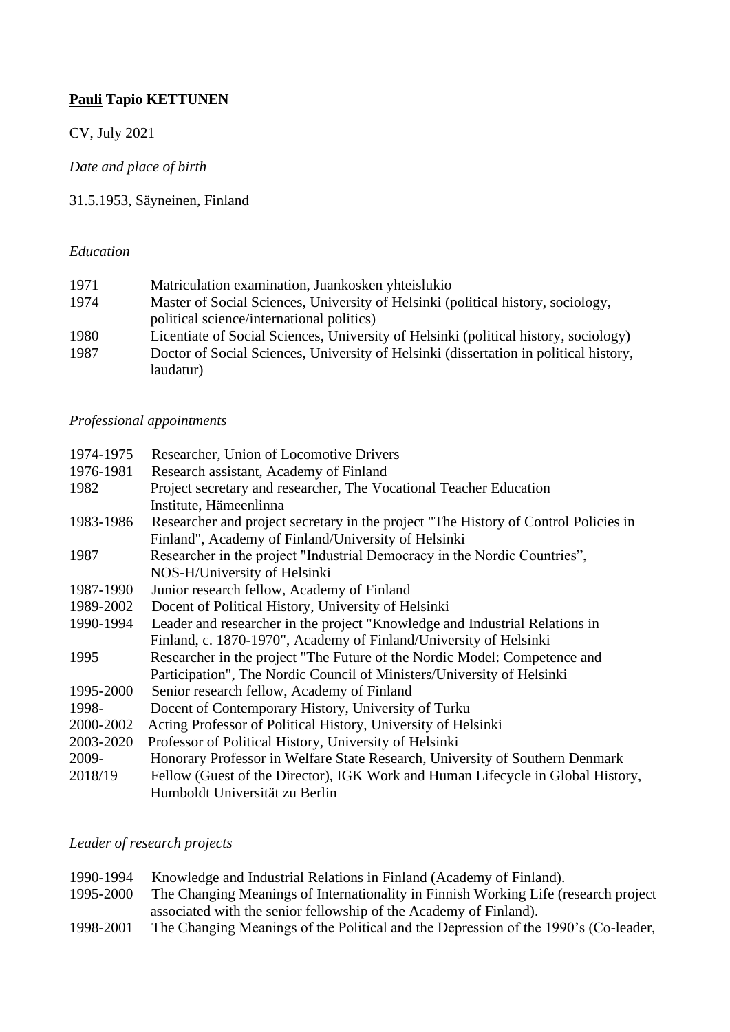## **Pauli Tapio KETTUNEN**

CV, July 2021

## *Date and place of birth*

31.5.1953, Säyneinen, Finland

#### *Education*

| 1971 | Matriculation examination, Juankosken yhteislukio                                                  |
|------|----------------------------------------------------------------------------------------------------|
| 1974 | Master of Social Sciences, University of Helsinki (political history, sociology,                   |
|      | political science/international politics)                                                          |
| 1980 | Licentiate of Social Sciences, University of Helsinki (political history, sociology)               |
| 1987 | Doctor of Social Sciences, University of Helsinki (dissertation in political history,<br>laudatur) |

## *Professional appointments*

| 1974-1975 | Researcher, Union of Locomotive Drivers                                             |
|-----------|-------------------------------------------------------------------------------------|
| 1976-1981 | Research assistant, Academy of Finland                                              |
| 1982      | Project secretary and researcher, The Vocational Teacher Education                  |
|           | Institute, Hämeenlinna                                                              |
| 1983-1986 | Researcher and project secretary in the project "The History of Control Policies in |
|           | Finland", Academy of Finland/University of Helsinki                                 |
| 1987      | Researcher in the project "Industrial Democracy in the Nordic Countries",           |
|           | NOS-H/University of Helsinki                                                        |
| 1987-1990 | Junior research fellow, Academy of Finland                                          |
| 1989-2002 | Docent of Political History, University of Helsinki                                 |
| 1990-1994 | Leader and researcher in the project "Knowledge and Industrial Relations in         |
|           | Finland, c. 1870-1970", Academy of Finland/University of Helsinki                   |
| 1995      | Researcher in the project "The Future of the Nordic Model: Competence and           |
|           | Participation", The Nordic Council of Ministers/University of Helsinki              |
| 1995-2000 | Senior research fellow, Academy of Finland                                          |
| 1998-     | Docent of Contemporary History, University of Turku                                 |
| 2000-2002 | Acting Professor of Political History, University of Helsinki                       |
| 2003-2020 | Professor of Political History, University of Helsinki                              |
| 2009-     | Honorary Professor in Welfare State Research, University of Southern Denmark        |
| 2018/19   | Fellow (Guest of the Director), IGK Work and Human Lifecycle in Global History,     |
|           | Humboldt Universität zu Berlin                                                      |

# *Leader of research projects*

| 1990-1994 | Knowledge and Industrial Relations in Finland (Academy of Finland).                  |
|-----------|--------------------------------------------------------------------------------------|
| 1995-2000 | The Changing Meanings of Internationality in Finnish Working Life (research project) |
|           | associated with the senior fellowship of the Academy of Finland).                    |
| 1998-2001 | The Changing Meanings of the Political and the Depression of the 1990's (Co-leader,  |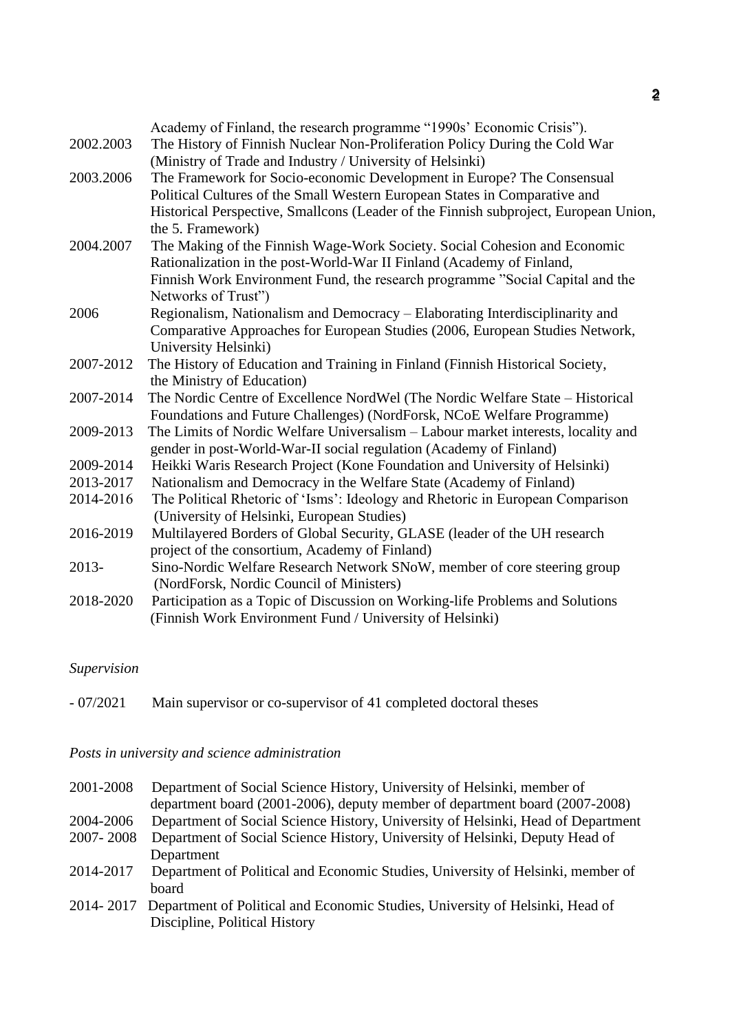|           | Academy of Finland, the research programme "1990s' Economic Crisis").                                                                    |
|-----------|------------------------------------------------------------------------------------------------------------------------------------------|
| 2002.2003 | The History of Finnish Nuclear Non-Proliferation Policy During the Cold War<br>(Ministry of Trade and Industry / University of Helsinki) |
| 2003.2006 | The Framework for Socio-economic Development in Europe? The Consensual                                                                   |
|           | Political Cultures of the Small Western European States in Comparative and                                                               |
|           | Historical Perspective, Smallcons (Leader of the Finnish subproject, European Union,<br>the 5. Framework)                                |
| 2004.2007 | The Making of the Finnish Wage-Work Society. Social Cohesion and Economic                                                                |
|           | Rationalization in the post-World-War II Finland (Academy of Finland,                                                                    |
|           | Finnish Work Environment Fund, the research programme "Social Capital and the<br>Networks of Trust")                                     |
| 2006      | Regionalism, Nationalism and Democracy - Elaborating Interdisciplinarity and                                                             |
|           | Comparative Approaches for European Studies (2006, European Studies Network,                                                             |
|           | University Helsinki)                                                                                                                     |
| 2007-2012 | The History of Education and Training in Finland (Finnish Historical Society,                                                            |
|           | the Ministry of Education)                                                                                                               |
| 2007-2014 | The Nordic Centre of Excellence NordWel (The Nordic Welfare State - Historical                                                           |
|           | Foundations and Future Challenges) (NordForsk, NCoE Welfare Programme)                                                                   |
| 2009-2013 | The Limits of Nordic Welfare Universalism - Labour market interests, locality and                                                        |
|           | gender in post-World-War-II social regulation (Academy of Finland)                                                                       |
| 2009-2014 | Heikki Waris Research Project (Kone Foundation and University of Helsinki)                                                               |
| 2013-2017 | Nationalism and Democracy in the Welfare State (Academy of Finland)                                                                      |
| 2014-2016 | The Political Rhetoric of 'Isms': Ideology and Rhetoric in European Comparison                                                           |
|           | (University of Helsinki, European Studies)                                                                                               |
| 2016-2019 | Multilayered Borders of Global Security, GLASE (leader of the UH research                                                                |
|           | project of the consortium, Academy of Finland)                                                                                           |
| 2013-     | Sino-Nordic Welfare Research Network SNoW, member of core steering group                                                                 |
|           | (NordForsk, Nordic Council of Ministers)                                                                                                 |
| 2018-2020 | Participation as a Topic of Discussion on Working-life Problems and Solutions                                                            |
|           | (Finnish Work Environment Fund / University of Helsinki)                                                                                 |

# *Supervision*

- 07/2021 Main supervisor or co-supervisor of 41 completed doctoral theses

# *Posts in university and science administration*

| 2001-2008 | Department of Social Science History, University of Helsinki, member of<br>department board (2001-2006), deputy member of department board (2007-2008) |
|-----------|--------------------------------------------------------------------------------------------------------------------------------------------------------|
| 2004-2006 | Department of Social Science History, University of Helsinki, Head of Department                                                                       |
| 2007-2008 | Department of Social Science History, University of Helsinki, Deputy Head of                                                                           |
|           | Department                                                                                                                                             |
| 2014-2017 | Department of Political and Economic Studies, University of Helsinki, member of                                                                        |
|           | board                                                                                                                                                  |
| 2014-2017 | Department of Political and Economic Studies, University of Helsinki, Head of                                                                          |
|           | Discipline, Political History                                                                                                                          |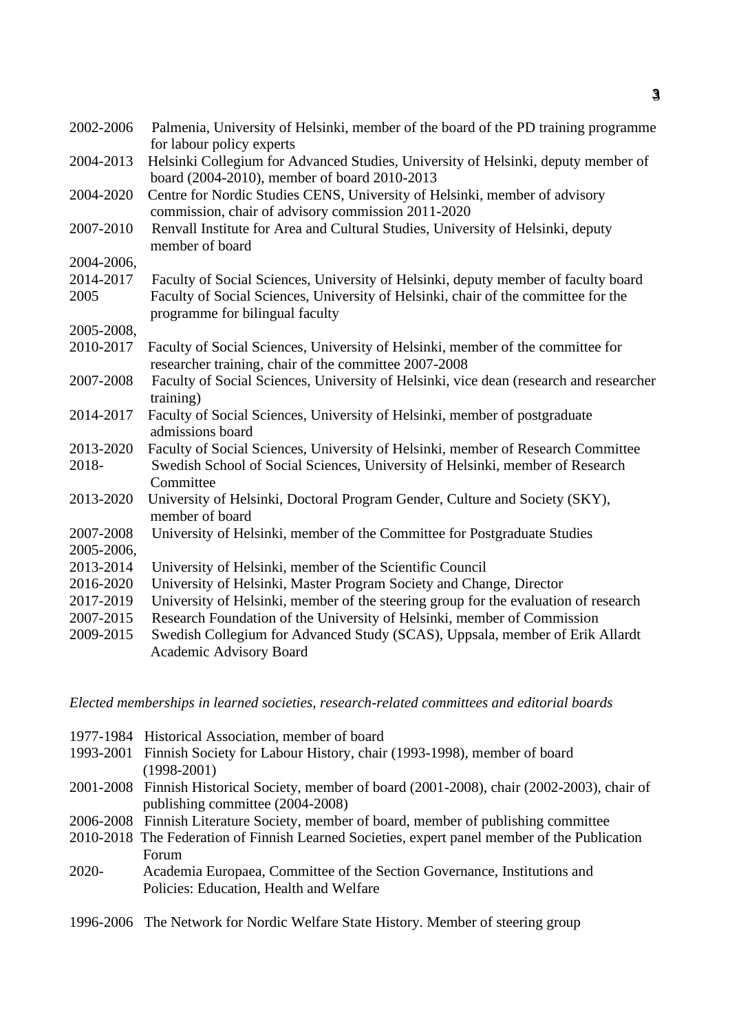| 2002-2006  | Palmenia, University of Helsinki, member of the board of the PD training programme<br>for labour policy experts                          |
|------------|------------------------------------------------------------------------------------------------------------------------------------------|
| 2004-2013  | Helsinki Collegium for Advanced Studies, University of Helsinki, deputy member of<br>board (2004-2010), member of board 2010-2013        |
| 2004-2020  | Centre for Nordic Studies CENS, University of Helsinki, member of advisory<br>commission, chair of advisory commission 2011-2020         |
| 2007-2010  | Renvall Institute for Area and Cultural Studies, University of Helsinki, deputy<br>member of board                                       |
| 2004-2006, |                                                                                                                                          |
| 2014-2017  | Faculty of Social Sciences, University of Helsinki, deputy member of faculty board                                                       |
| 2005       | Faculty of Social Sciences, University of Helsinki, chair of the committee for the<br>programme for bilingual faculty                    |
| 2005-2008, |                                                                                                                                          |
| 2010-2017  | Faculty of Social Sciences, University of Helsinki, member of the committee for<br>researcher training, chair of the committee 2007-2008 |
| 2007-2008  | Faculty of Social Sciences, University of Helsinki, vice dean (research and researcher<br>training)                                      |
| 2014-2017  | Faculty of Social Sciences, University of Helsinki, member of postgraduate<br>admissions board                                           |
| 2013-2020  | Faculty of Social Sciences, University of Helsinki, member of Research Committee                                                         |
| 2018-      | Swedish School of Social Sciences, University of Helsinki, member of Research<br>Committee                                               |
| 2013-2020  | University of Helsinki, Doctoral Program Gender, Culture and Society (SKY),<br>member of board                                           |
| 2007-2008  | University of Helsinki, member of the Committee for Postgraduate Studies                                                                 |
| 2005-2006, |                                                                                                                                          |
| 2013-2014  | University of Helsinki, member of the Scientific Council                                                                                 |
| 2016-2020  | University of Helsinki, Master Program Society and Change, Director                                                                      |
| 2017-2019  | University of Helsinki, member of the steering group for the evaluation of research                                                      |
| 2007-2015  | Research Foundation of the University of Helsinki, member of Commission                                                                  |
| 2009-2015  | Swedish Collegium for Advanced Study (SCAS), Uppsala, member of Erik Allardt<br><b>Academic Advisory Board</b>                           |
|            |                                                                                                                                          |

*Elected memberships in learned societies, research-related committees and editorial boards*

- 1977-1984 Historical Association, member of board 1993-2001 Finnish Society for Labour History, chair (1993-1998), member of board (1998-2001)
- 2001-2008 Finnish Historical Society, member of board (2001-2008), chair (2002-2003), chair of publishing committee (2004-2008)
- 2006-2008 Finnish Literature Society, member of board, member of publishing committee
- 2010-2018 The Federation of Finnish Learned Societies, expert panel member of the Publication Forum
- 2020- Academia Europaea, Committee of the Section Governance, Institutions and Policies: Education, Health and Welfare
- 1996-2006 The Network for Nordic Welfare State History. Member of steering group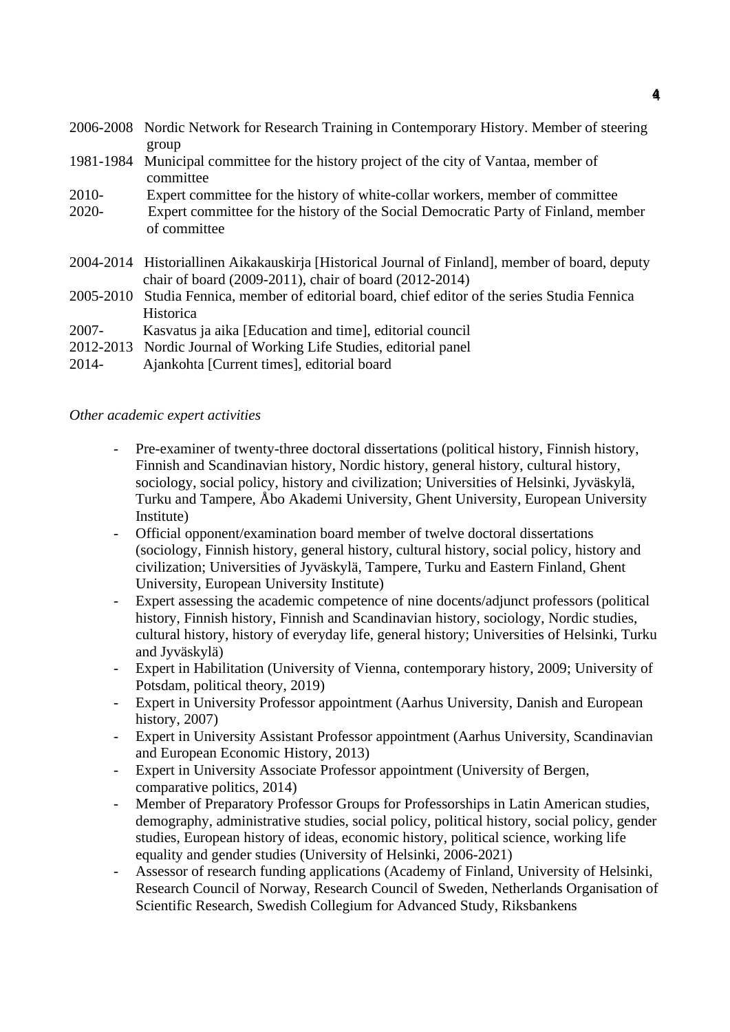|           | 2006-2008 Nordic Network for Research Training in Contemporary History. Member of steering<br>group                                                       |
|-----------|-----------------------------------------------------------------------------------------------------------------------------------------------------------|
| 1981-1984 | Municipal committee for the history project of the city of Vantaa, member of<br>committee                                                                 |
| 2010-     | Expert committee for the history of white-collar workers, member of committee                                                                             |
| $2020 -$  | Expert committee for the history of the Social Democratic Party of Finland, member<br>of committee                                                        |
|           | 2004-2014 Historiallinen Aikakauskirja [Historical Journal of Finland], member of board, deputy<br>chair of board (2009-2011), chair of board (2012-2014) |
| 2005-2010 | Studia Fennica, member of editorial board, chief editor of the series Studia Fennica<br>Historica                                                         |
| $2007 -$  | Kasvatus ja aika [Education and time], editorial council                                                                                                  |
|           | 2012-2013 Nordic Journal of Working Life Studies, editorial panel                                                                                         |
| $2014 -$  | Ajankohta [Current times], editorial board                                                                                                                |

#### *Other academic expert activities*

- Pre-examiner of twenty-three doctoral dissertations (political history, Finnish history, Finnish and Scandinavian history, Nordic history, general history, cultural history, sociology, social policy, history and civilization; Universities of Helsinki, Jyväskylä, Turku and Tampere, Åbo Akademi University, Ghent University, European University Institute)
- Official opponent/examination board member of twelve doctoral dissertations (sociology, Finnish history, general history, cultural history, social policy, history and civilization; Universities of Jyväskylä, Tampere, Turku and Eastern Finland, Ghent University, European University Institute)
- Expert assessing the academic competence of nine docents/adjunct professors (political history, Finnish history, Finnish and Scandinavian history, sociology, Nordic studies, cultural history, history of everyday life, general history; Universities of Helsinki, Turku and Jyväskylä)
- Expert in Habilitation (University of Vienna, contemporary history, 2009; University of Potsdam, political theory, 2019)
- Expert in University Professor appointment (Aarhus University, Danish and European history, 2007)
- Expert in University Assistant Professor appointment (Aarhus University, Scandinavian and European Economic History, 2013)
- Expert in University Associate Professor appointment (University of Bergen, comparative politics, 2014)
- Member of Preparatory Professor Groups for Professorships in Latin American studies, demography, administrative studies, social policy, political history, social policy, gender studies, European history of ideas, economic history, political science, working life equality and gender studies (University of Helsinki, 2006-2021)
- Assessor of research funding applications (Academy of Finland, University of Helsinki, Research Council of Norway, Research Council of Sweden, Netherlands Organisation of Scientific Research, Swedish Collegium for Advanced Study, Riksbankens